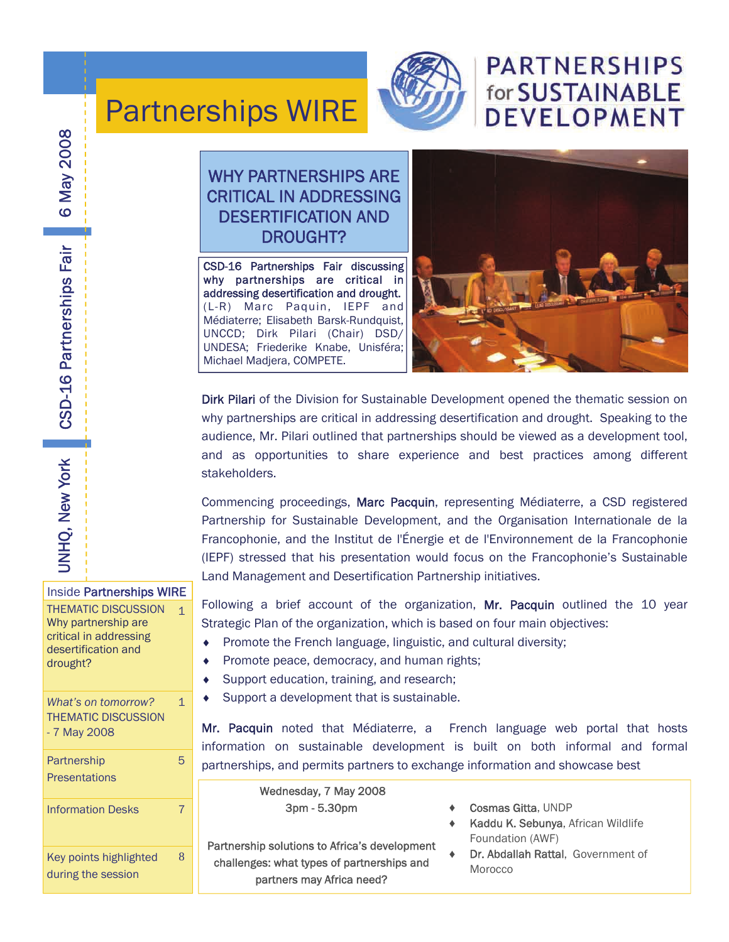

## **PARTNERSHIPS** for SUSTAINABLE **DEVELOPMENT**

### WHY PARTNERSHIPS ARE CRITICAL IN ADDRESSING DESERTIFICATION AND DROUGHT?

Partnerships WIRE

CSD-16 Partnerships Fair discussing why partnerships are critical in addressing desertification and drought. (L-R) Marc Paquin, IEPF and Médiaterre; Elisabeth Barsk-Rundquist, UNCCD; Dirk Pilari (Chair) DSD/ UNDESA; Friederike Knabe, Unisféra; Michael Madjera, COMPETE.



Dirk Pilari of the Division for Sustainable Development opened the thematic session on why partnerships are critical in addressing desertification and drought. Speaking to the audience, Mr. Pilari outlined that partnerships should be viewed as a development tool, and as opportunities to share experience and best practices among different stakeholders.

Commencing proceedings, Marc Pacquin, representing Médiaterre, a CSD registered Partnership for Sustainable Development, and the Organisation Internationale de la Francophonie, and the Institut de l'Énergie et de l'Environnement de la Francophonie (IEPF) stressed that his presentation would focus on the Francophonie's Sustainable Land Management and Desertification Partnership initiatives.

Following a brief account of the organization, Mr. Pacquin outlined the 10 year Strategic Plan of the organization, which is based on four main objectives:

- ♦ Promote the French language, linguistic, and cultural diversity;
- ♦ Promote peace, democracy, and human rights;
- ♦ Support education, training, and research;
- ♦ Support a development that is sustainable.

Mr. Pacquin noted that Médiaterre, a French language web portal that hosts information on sustainable development is built on both informal and formal partnerships, and permits partners to exchange information and showcase best

Wednesday, 7 May 2008 3pm - 5.30pm

Partnership solutions to Africa's development challenges: what types of partnerships and partners may Africa need?

- Cosmas Gitta, UNDP
- ♦ Kaddu K. Sebunya, African Wildlife Foundation (AWF)
- Dr. Abdallah Rattal, Government of Morocco

Inside Partnerships WIRE THEMATIC DISCUSSION 1 Why partnership are critical in addressing desertification and drought? *What's on tomorrow?*  THEMATIC DISCUSSION - 7 May 2008 **Partnership Presentations** Information Desks 7

1

5

8

Key points highlighted during the session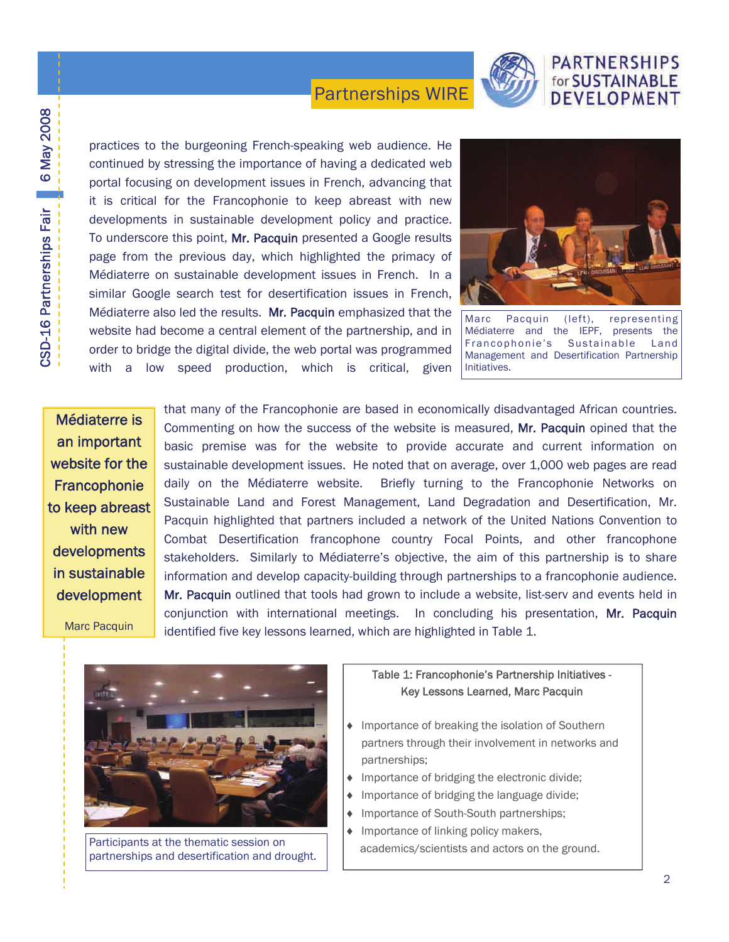

#### **PARTNERSHIPS** for SUSTAINABLE DEVELOPMENT

practices to the burgeoning French-speaking web audience. He continued by stressing the importance of having a dedicated web portal focusing on development issues in French, advancing that it is critical for the Francophonie to keep abreast with new developments in sustainable development policy and practice. To underscore this point, Mr. Pacquin presented a Google results page from the previous day, which highlighted the primacy of Médiaterre on sustainable development issues in French. In a similar Google search test for desertification issues in French, Médiaterre also led the results. Mr. Pacquin emphasized that the website had become a central element of the partnership, and in order to bridge the digital divide, the web portal was programmed with a low speed production, which is critical, given



Marc Pacquin (left), representing Médiaterre and the IEPF, presents the Francophonie's Sustainable Land Management and Desertification Partnership Initiatives.

Médiaterre is an important website for the **Francophonie** to keep abreast with new developments in sustainable development

CSD-16 Partnerships Fair 6 May 2008

CSD-16 Partnerships Fair 6 May 2008

Marc Pacquin

that many of the Francophonie are based in economically disadvantaged African countries. Commenting on how the success of the website is measured, Mr. Pacquin opined that the basic premise was for the website to provide accurate and current information on sustainable development issues. He noted that on average, over 1,000 web pages are read daily on the Médiaterre website. Briefly turning to the Francophonie Networks on Sustainable Land and Forest Management, Land Degradation and Desertification, Mr. Pacquin highlighted that partners included a network of the United Nations Convention to Combat Desertification francophone country Focal Points, and other francophone stakeholders. Similarly to Médiaterre's objective, the aim of this partnership is to share information and develop capacity-building through partnerships to a francophonie audience. Mr. Pacquin outlined that tools had grown to include a website, list-serv and events held in conjunction with international meetings. In concluding his presentation, Mr. Pacquin identified five key lessons learned, which are highlighted in Table 1.



Participants at the thematic session on partnerships and desertification and drought.

#### Table 1: Francophonie's Partnership Initiatives - Key Lessons Learned, Marc Pacquin

- ♦ Importance of breaking the isolation of Southern partners through their involvement in networks and partnerships;
- ♦ Importance of bridging the electronic divide;
- ♦ Importance of bridging the language divide;
- ♦ Importance of South-South partnerships;
- ♦ Importance of linking policy makers, academics/scientists and actors on the ground.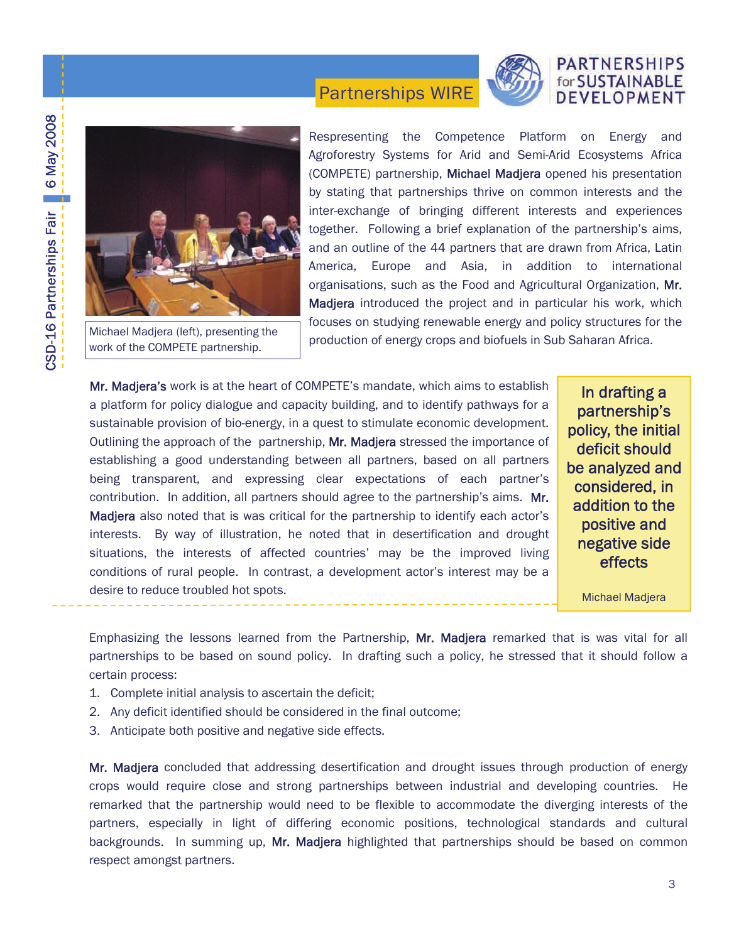#### PARTNERSHIPS for SUSTAINABLE DEVELOPMENT





Michael Madjera (left), presenting the work of the COMPETE partnership.

Respresenting the Competence Platform on Energy and Agroforestry Systems for Arid and Semi-Arid Ecosystems Africa (COMPETE) partnership, Michael Madjera opened his presentation by stating that partnerships thrive on common interests and the inter-exchange of bringing different interests and experiences together. Following a brief explanation of the partnership's aims, and an outline of the 44 partners that are drawn from Africa, Latin America, Europe and Asia, in addition to international organisations, such as the Food and Agricultural Organization, Mr. Madjera introduced the project and in particular his work, which focuses on studying renewable energy and policy structures for the production of energy crops and biofuels in Sub Saharan Africa.

Mr. Madjera's work is at the heart of COMPETE's mandate, which aims to establish a platform for policy dialogue and capacity building, and to identify pathways for a sustainable provision of bio-energy, in a quest to stimulate economic development. Outlining the approach of the partnership, Mr. Madjera stressed the importance of establishing a good understanding between all partners, based on all partners being transparent, and expressing clear expectations of each partner's contribution. In addition, all partners should agree to the partnership's aims. Mr. Madjera also noted that is was critical for the partnership to identify each actor's interests. By way of illustration, he noted that in desertification and drought situations, the interests of affected countries' may be the improved living conditions of rural people. In contrast, a development actor's interest may be a desire to reduce troubled hot spots.

In drafting a partnership's policy, the initial deficit should be analyzed and considered, in addition to the positive and negative side effects

Michael Madjera

Emphasizing the lessons learned from the Partnership, Mr. Madjera remarked that is was vital for all partnerships to be based on sound policy. In drafting such a policy, he stressed that it should follow a certain process:

Partnerships WIRE

- 1. Complete initial analysis to ascertain the deficit;
- 2. Any deficit identified should be considered in the final outcome;
- 3. Anticipate both positive and negative side effects.

Mr. Madjera concluded that addressing desertification and drought issues through production of energy crops would require close and strong partnerships between industrial and developing countries. He remarked that the partnership would need to be flexible to accommodate the diverging interests of the partners, especially in light of differing economic positions, technological standards and cultural backgrounds. In summing up, Mr. Madjera highlighted that partnerships should be based on common respect amongst partners.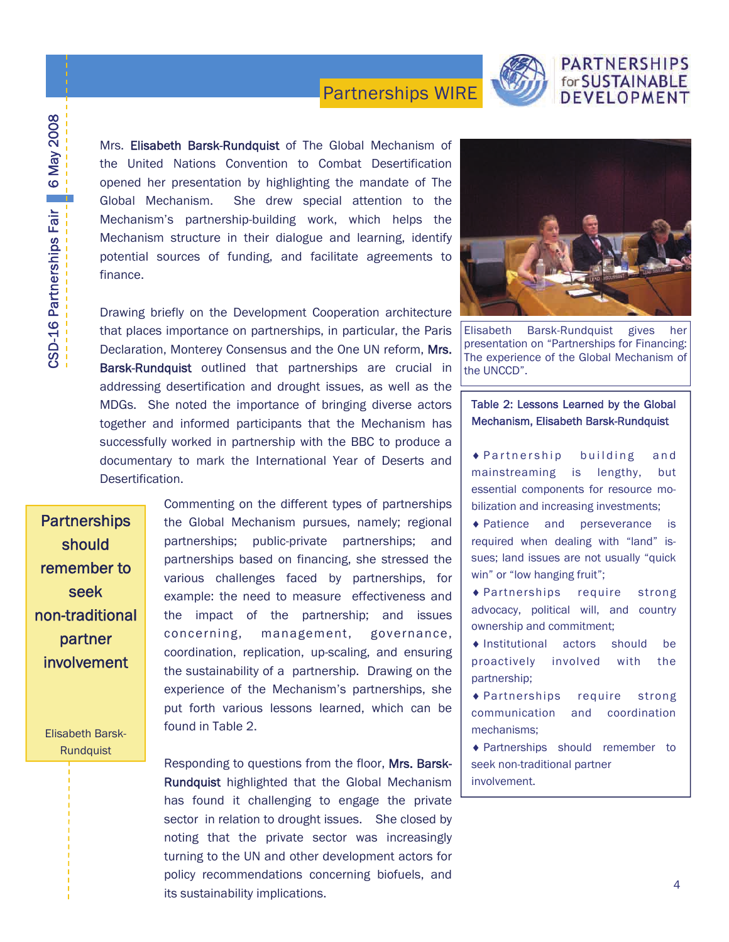

#### **PARTNERSHIPS** for SUSTAINABLE DEVELOPMENT

Mrs. Elisabeth Barsk-Rundquist of The Global Mechanism of the United Nations Convention to Combat Desertification opened her presentation by highlighting the mandate of The Global Mechanism. She drew special attention to the Mechanism's partnership-building work, which helps the Mechanism structure in their dialogue and learning, identify potential sources of funding, and facilitate agreements to finance.

Drawing briefly on the Development Cooperation architecture that places importance on partnerships, in particular, the Paris Declaration, Monterey Consensus and the One UN reform, Mrs. Barsk-Rundquist outlined that partnerships are crucial in addressing desertification and drought issues, as well as the MDGs. She noted the importance of bringing diverse actors together and informed participants that the Mechanism has successfully worked in partnership with the BBC to produce a documentary to mark the International Year of Deserts and Desertification.

**Partnerships** should remember to seek non-traditional partner involvement

> Elisabeth Barsk-Rundquist

Commenting on the different types of partnerships the Global Mechanism pursues, namely; regional partnerships; public-private partnerships; and partnerships based on financing, she stressed the various challenges faced by partnerships, for example: the need to measure effectiveness and the impact of the partnership; and issues concerning, management, governance, coordination, replication, up-scaling, and ensuring the sustainability of a partnership. Drawing on the experience of the Mechanism's partnerships, she put forth various lessons learned, which can be found in Table 2.

Responding to questions from the floor, Mrs. Barsk-Rundquist highlighted that the Global Mechanism has found it challenging to engage the private sector in relation to drought issues. She closed by noting that the private sector was increasingly turning to the UN and other development actors for policy recommendations concerning biofuels, and its sustainability implications.



Elisabeth Barsk-Rundquist gives her presentation on "Partnerships for Financing: The experience of the Global Mechanism of the UNCCD".

#### Table 2: Lessons Learned by the Global Mechanism, Elisabeth Barsk-Rundquist

 $\triangle$  Partnership building and mainstreaming is lengthy, but essential components for resource mobilization and increasing investments;

♦ Patience and perseverance is required when dealing with "land" issues; land issues are not usually "quick win" or "low hanging fruit";

♦ Partnerships require strong advocacy, political will, and country ownership and commitment;

♦ Institutional actors should be proactively involved with the partnership;

♦ Partnerships require strong communication and coordination mechanisms;

♦ Partnerships should remember to seek non-traditional partner involvement.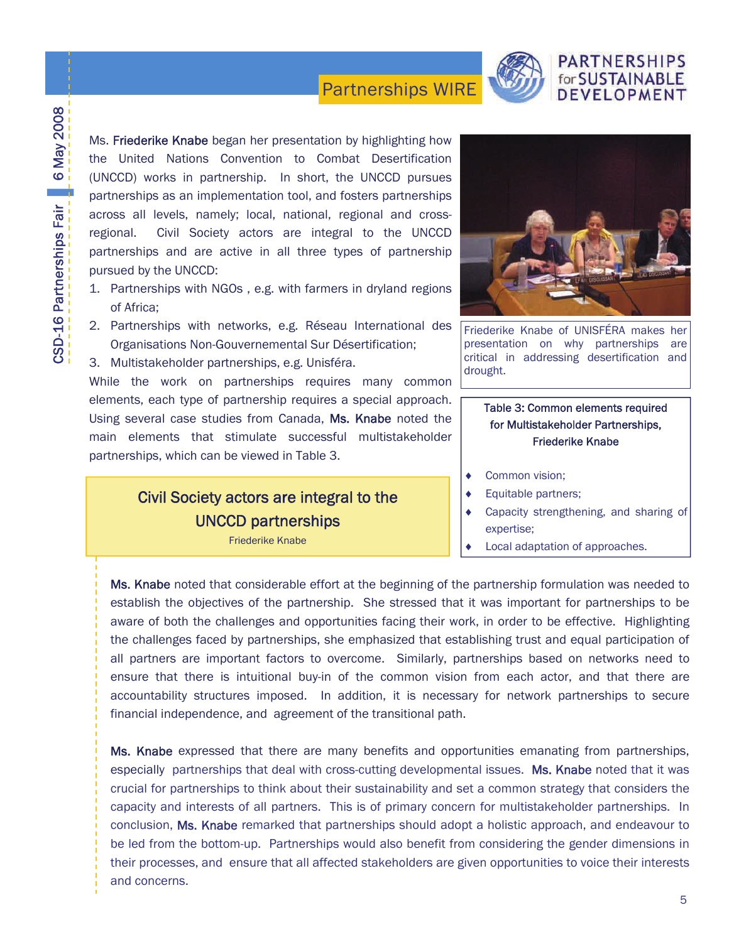

#### **PARTNERSHIPS** for SUSTAINABLE DEVELOPMENT

Ms. Friederike Knabe began her presentation by highlighting how the United Nations Convention to Combat Desertification (UNCCD) works in partnership. In short, the UNCCD pursues partnerships as an implementation tool, and fosters partnerships across all levels, namely; local, national, regional and crossregional. Civil Society actors are integral to the UNCCD partnerships and are active in all three types of partnership pursued by the UNCCD:

- 1. Partnerships with NGOs , e.g. with farmers in dryland regions of Africa;
- 2. Partnerships with networks, e.g. Réseau International des Organisations Non-Gouvernemental Sur Désertification;

3. Multistakeholder partnerships, e.g. Unisféra.

While the work on partnerships requires many common elements, each type of partnership requires a special approach. Using several case studies from Canada, Ms. Knabe noted the main elements that stimulate successful multistakeholder partnerships, which can be viewed in Table 3.

### Civil Society actors are integral to the UNCCD partnerships

Friederike Knabe



Friederike Knabe of UNISFÉRA makes her presentation on why partnerships are critical in addressing desertification and drought.

#### Table 3: Common elements required for Multistakeholder Partnerships, Friederike Knabe

- ♦ Common vision;
- ♦ Equitable partners;
- Capacity strengthening, and sharing of expertise;
- Local adaptation of approaches.

Ms. Knabe noted that considerable effort at the beginning of the partnership formulation was needed to establish the objectives of the partnership. She stressed that it was important for partnerships to be aware of both the challenges and opportunities facing their work, in order to be effective. Highlighting the challenges faced by partnerships, she emphasized that establishing trust and equal participation of all partners are important factors to overcome. Similarly, partnerships based on networks need to ensure that there is intuitional buy-in of the common vision from each actor, and that there are accountability structures imposed. In addition, it is necessary for network partnerships to secure financial independence, and agreement of the transitional path.

Ms. Knabe expressed that there are many benefits and opportunities emanating from partnerships, especially partnerships that deal with cross-cutting developmental issues. Ms. Knabe noted that it was crucial for partnerships to think about their sustainability and set a common strategy that considers the capacity and interests of all partners. This is of primary concern for multistakeholder partnerships. In conclusion, Ms. Knabe remarked that partnerships should adopt a holistic approach, and endeavour to be led from the bottom-up. Partnerships would also benefit from considering the gender dimensions in their processes, and ensure that all affected stakeholders are given opportunities to voice their interests and concerns.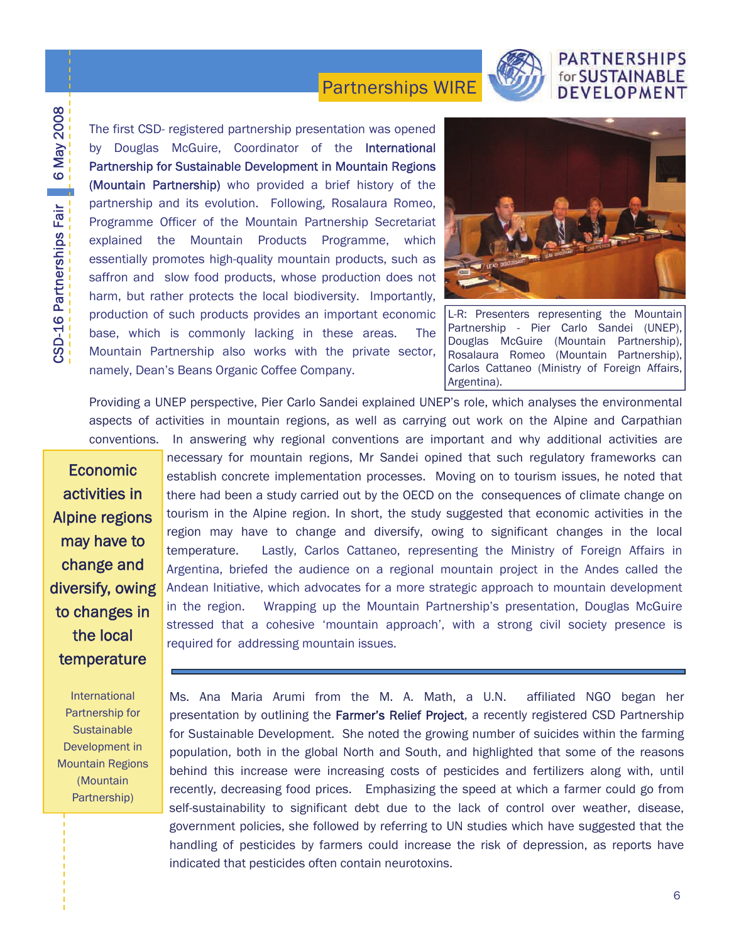

#### **PARTNERSHIPS** for SUSTAINABLE DEVELOPMENT

The first CSD- registered partnership presentation was opened by Douglas McGuire, Coordinator of the International Partnership for Sustainable Development in Mountain Regions (Mountain Partnership) who provided a brief history of the partnership and its evolution. Following, Rosalaura Romeo, Programme Officer of the Mountain Partnership Secretariat explained the Mountain Products Programme, which essentially promotes high-quality mountain products, such as saffron and slow food products, whose production does not harm, but rather protects the local biodiversity. Importantly, production of such products provides an important economic base, which is commonly lacking in these areas. The Mountain Partnership also works with the private sector, namely, Dean's Beans Organic Coffee Company.



L-R: Presenters representing the Mountain Partnership - Pier Carlo Sandei (UNEP), Douglas McGuire (Mountain Partnership), Rosalaura Romeo (Mountain Partnership), Carlos Cattaneo (Ministry of Foreign Affairs, Argentina).

Providing a UNEP perspective, Pier Carlo Sandei explained UNEP's role, which analyses the environmental aspects of activities in mountain regions, as well as carrying out work on the Alpine and Carpathian conventions. In answering why regional conventions are important and why additional activities are

Economic activities in Alpine regions may have to change and diversify, owing to changes in the local temperature

International Partnership for **Sustainable** Development in Mountain Regions (Mountain Partnership)

necessary for mountain regions, Mr Sandei opined that such regulatory frameworks can establish concrete implementation processes. Moving on to tourism issues, he noted that there had been a study carried out by the OECD on the consequences of climate change on tourism in the Alpine region. In short, the study suggested that economic activities in the region may have to change and diversify, owing to significant changes in the local temperature. Lastly, Carlos Cattaneo, representing the Ministry of Foreign Affairs in Argentina, briefed the audience on a regional mountain project in the Andes called the Andean Initiative, which advocates for a more strategic approach to mountain development in the region. Wrapping up the Mountain Partnership's presentation, Douglas McGuire stressed that a cohesive 'mountain approach', with a strong civil society presence is required for addressing mountain issues.

Ms. Ana Maria Arumi from the M. A. Math, a U.N. affiliated NGO began her presentation by outlining the Farmer's Relief Project, a recently registered CSD Partnership for Sustainable Development. She noted the growing number of suicides within the farming population, both in the global North and South, and highlighted that some of the reasons behind this increase were increasing costs of pesticides and fertilizers along with, until recently, decreasing food prices. Emphasizing the speed at which a farmer could go from self-sustainability to significant debt due to the lack of control over weather, disease, government policies, she followed by referring to UN studies which have suggested that the handling of pesticides by farmers could increase the risk of depression, as reports have indicated that pesticides often contain neurotoxins.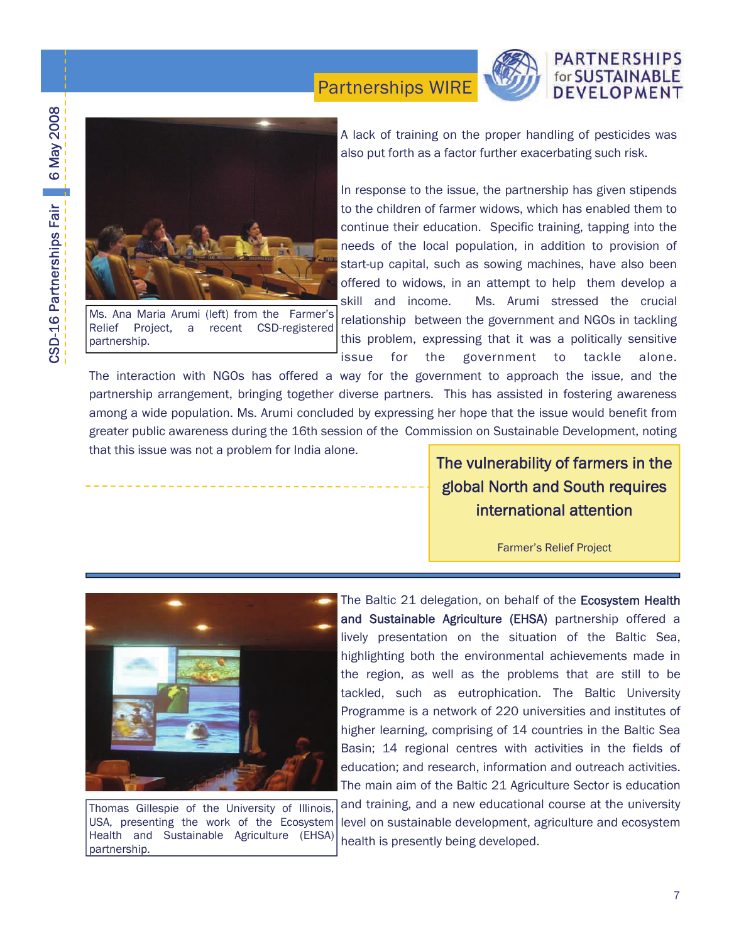

Ms. Ana Maria Arumi (left) from the Farmer's Relief Project, a recent CSD-registered partnership.

A lack of training on the proper handling of pesticides was also put forth as a factor further exacerbating such risk.

**PARTNERSHIPS** for SUSTAINABLE DEVELOPMENT

In response to the issue, the partnership has given stipends to the children of farmer widows, which has enabled them to continue their education. Specific training, tapping into the needs of the local population, in addition to provision of start-up capital, such as sowing machines, have also been offered to widows, in an attempt to help them develop a skill and income. Ms. Arumi stressed the crucial relationship between the government and NGOs in tackling this problem, expressing that it was a politically sensitive issue for the government to tackle alone.

The interaction with NGOs has offered a way for the government to approach the issue, and the partnership arrangement, bringing together diverse partners. This has assisted in fostering awareness among a wide population. Ms. Arumi concluded by expressing her hope that the issue would benefit from greater public awareness during the 16th session of the Commission on Sustainable Development, noting that this issue was not a problem for India alone.

The vulnerability of farmers in the global North and South requires international attention

Farmer's Relief Project



Thomas Gillespie of the University of Illinois, USA, presenting the work of the Ecosystem Health and Sustainable Agriculture (EHSA) partnership.

The Baltic 21 delegation, on behalf of the Ecosystem Health and Sustainable Agriculture (EHSA) partnership offered a lively presentation on the situation of the Baltic Sea, highlighting both the environmental achievements made in the region, as well as the problems that are still to be tackled, such as eutrophication. The Baltic University Programme is a network of 220 universities and institutes of higher learning, comprising of 14 countries in the Baltic Sea Basin; 14 regional centres with activities in the fields of education; and research, information and outreach activities. The main aim of the Baltic 21 Agriculture Sector is education

and training, and a new educational course at the university level on sustainable development, agriculture and ecosystem health is presently being developed.